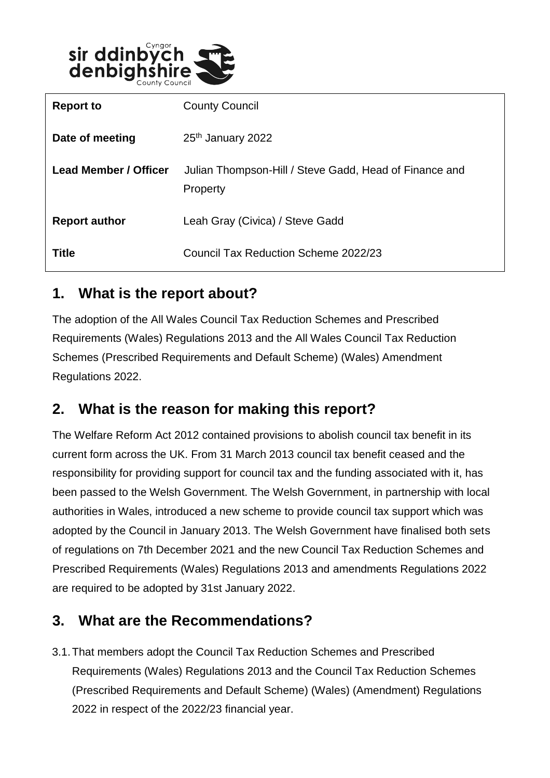

| <b>Report to</b>             | <b>County Council</b>                                              |
|------------------------------|--------------------------------------------------------------------|
| Date of meeting              | 25 <sup>th</sup> January 2022                                      |
| <b>Lead Member / Officer</b> | Julian Thompson-Hill / Steve Gadd, Head of Finance and<br>Property |
| <b>Report author</b>         | Leah Gray (Civica) / Steve Gadd                                    |
| <b>Title</b>                 | Council Tax Reduction Scheme 2022/23                               |

### **1. What is the report about?**

The adoption of the All Wales Council Tax Reduction Schemes and Prescribed Requirements (Wales) Regulations 2013 and the All Wales Council Tax Reduction Schemes (Prescribed Requirements and Default Scheme) (Wales) Amendment Regulations 2022.

# **2. What is the reason for making this report?**

The Welfare Reform Act 2012 contained provisions to abolish council tax benefit in its current form across the UK. From 31 March 2013 council tax benefit ceased and the responsibility for providing support for council tax and the funding associated with it, has been passed to the Welsh Government. The Welsh Government, in partnership with local authorities in Wales, introduced a new scheme to provide council tax support which was adopted by the Council in January 2013. The Welsh Government have finalised both sets of regulations on 7th December 2021 and the new Council Tax Reduction Schemes and Prescribed Requirements (Wales) Regulations 2013 and amendments Regulations 2022 are required to be adopted by 31st January 2022.

# **3. What are the Recommendations?**

3.1.That members adopt the Council Tax Reduction Schemes and Prescribed Requirements (Wales) Regulations 2013 and the Council Tax Reduction Schemes (Prescribed Requirements and Default Scheme) (Wales) (Amendment) Regulations 2022 in respect of the 2022/23 financial year.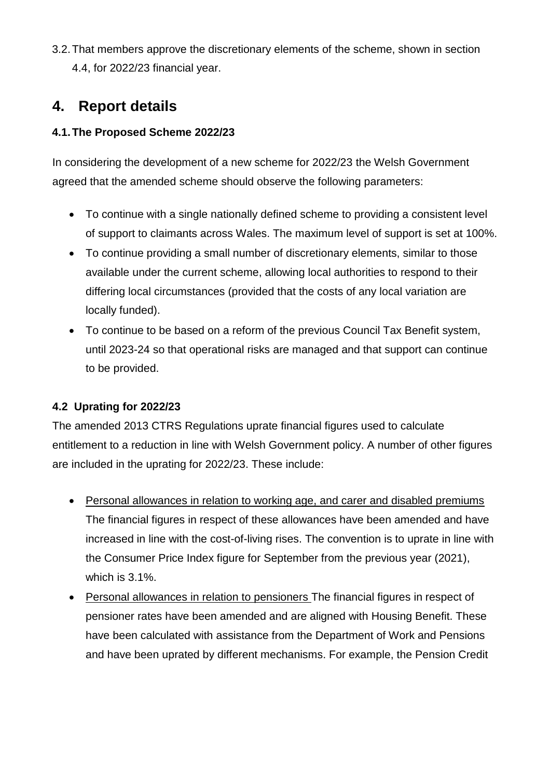3.2.That members approve the discretionary elements of the scheme, shown in section 4.4, for 2022/23 financial year.

## **4. Report details**

### **4.1.The Proposed Scheme 2022/23**

In considering the development of a new scheme for 2022/23 the Welsh Government agreed that the amended scheme should observe the following parameters:

- To continue with a single nationally defined scheme to providing a consistent level of support to claimants across Wales. The maximum level of support is set at 100%.
- To continue providing a small number of discretionary elements, similar to those available under the current scheme, allowing local authorities to respond to their differing local circumstances (provided that the costs of any local variation are locally funded).
- To continue to be based on a reform of the previous Council Tax Benefit system, until 2023-24 so that operational risks are managed and that support can continue to be provided.

### **4.2 Uprating for 2022/23**

The amended 2013 CTRS Regulations uprate financial figures used to calculate entitlement to a reduction in line with Welsh Government policy. A number of other figures are included in the uprating for 2022/23. These include:

- Personal allowances in relation to working age, and carer and disabled premiums The financial figures in respect of these allowances have been amended and have increased in line with the cost-of-living rises. The convention is to uprate in line with the Consumer Price Index figure for September from the previous year (2021), which is 3.1%.
- Personal allowances in relation to pensioners The financial figures in respect of pensioner rates have been amended and are aligned with Housing Benefit. These have been calculated with assistance from the Department of Work and Pensions and have been uprated by different mechanisms. For example, the Pension Credit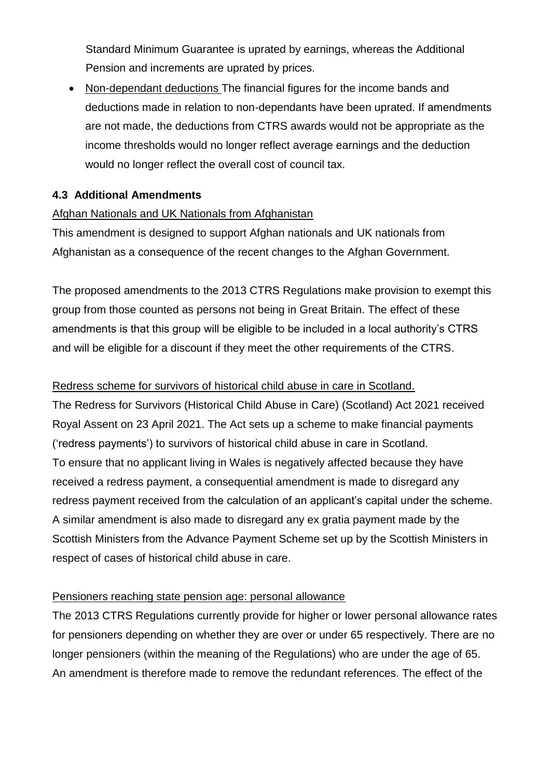Standard Minimum Guarantee is uprated by earnings, whereas the Additional Pension and increments are uprated by prices.

• Non-dependant deductions The financial figures for the income bands and deductions made in relation to non-dependants have been uprated. If amendments are not made, the deductions from CTRS awards would not be appropriate as the income thresholds would no longer reflect average earnings and the deduction would no longer reflect the overall cost of council tax.

#### **4.3 Additional Amendments**

#### Afghan Nationals and UK Nationals from Afghanistan

This amendment is designed to support Afghan nationals and UK nationals from Afghanistan as a consequence of the recent changes to the Afghan Government.

The proposed amendments to the 2013 CTRS Regulations make provision to exempt this group from those counted as persons not being in Great Britain. The effect of these amendments is that this group will be eligible to be included in a local authority's CTRS and will be eligible for a discount if they meet the other requirements of the CTRS.

#### Redress scheme for survivors of historical child abuse in care in Scotland.

The Redress for Survivors (Historical Child Abuse in Care) (Scotland) Act 2021 received Royal Assent on 23 April 2021. The Act sets up a scheme to make financial payments ('redress payments') to survivors of historical child abuse in care in Scotland. To ensure that no applicant living in Wales is negatively affected because they have received a redress payment, a consequential amendment is made to disregard any redress payment received from the calculation of an applicant's capital under the scheme. A similar amendment is also made to disregard any ex gratia payment made by the Scottish Ministers from the Advance Payment Scheme set up by the Scottish Ministers in respect of cases of historical child abuse in care.

#### Pensioners reaching state pension age: personal allowance

The 2013 CTRS Regulations currently provide for higher or lower personal allowance rates for pensioners depending on whether they are over or under 65 respectively. There are no longer pensioners (within the meaning of the Regulations) who are under the age of 65. An amendment is therefore made to remove the redundant references. The effect of the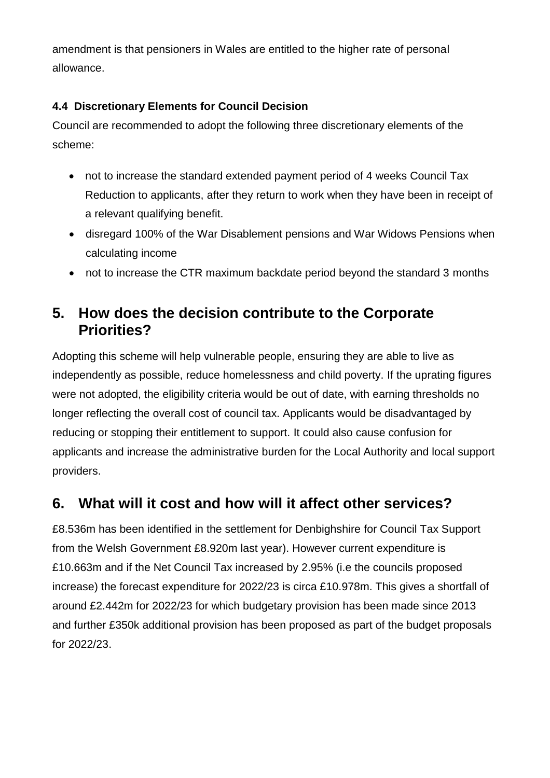amendment is that pensioners in Wales are entitled to the higher rate of personal allowance.

### **4.4 Discretionary Elements for Council Decision**

Council are recommended to adopt the following three discretionary elements of the scheme:

- not to increase the standard extended payment period of 4 weeks Council Tax Reduction to applicants, after they return to work when they have been in receipt of a relevant qualifying benefit.
- disregard 100% of the War Disablement pensions and War Widows Pensions when calculating income
- not to increase the CTR maximum backdate period beyond the standard 3 months

### **5. How does the decision contribute to the Corporate Priorities?**

Adopting this scheme will help vulnerable people, ensuring they are able to live as independently as possible, reduce homelessness and child poverty. If the uprating figures were not adopted, the eligibility criteria would be out of date, with earning thresholds no longer reflecting the overall cost of council tax. Applicants would be disadvantaged by reducing or stopping their entitlement to support. It could also cause confusion for applicants and increase the administrative burden for the Local Authority and local support providers.

# **6. What will it cost and how will it affect other services?**

£8.536m has been identified in the settlement for Denbighshire for Council Tax Support from the Welsh Government £8.920m last year). However current expenditure is £10.663m and if the Net Council Tax increased by 2.95% (i.e the councils proposed increase) the forecast expenditure for 2022/23 is circa £10.978m. This gives a shortfall of around £2.442m for 2022/23 for which budgetary provision has been made since 2013 and further £350k additional provision has been proposed as part of the budget proposals for 2022/23.